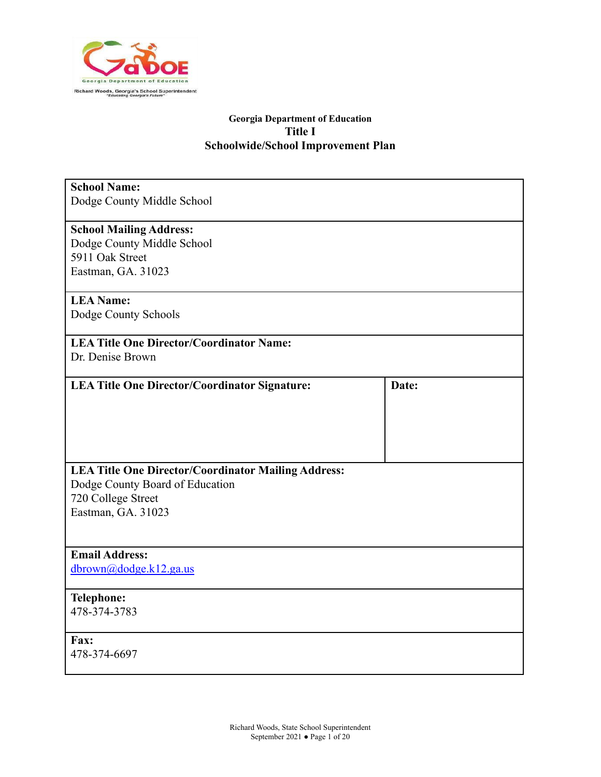

| <b>School Name:</b><br>Dodge County Middle School          |       |
|------------------------------------------------------------|-------|
| <b>School Mailing Address:</b>                             |       |
| Dodge County Middle School                                 |       |
| 5911 Oak Street                                            |       |
| Eastman, GA. 31023                                         |       |
| <b>LEA Name:</b>                                           |       |
| Dodge County Schools                                       |       |
| <b>LEA Title One Director/Coordinator Name:</b>            |       |
| Dr. Denise Brown                                           |       |
| <b>LEA Title One Director/Coordinator Signature:</b>       | Date: |
|                                                            |       |
|                                                            |       |
|                                                            |       |
|                                                            |       |
| <b>LEA Title One Director/Coordinator Mailing Address:</b> |       |
| Dodge County Board of Education                            |       |
| 720 College Street                                         |       |
| Eastman, GA. 31023                                         |       |
|                                                            |       |
| <b>Email Address:</b>                                      |       |
| dbrown@dodge.k12.ga.us                                     |       |
| <b>Telephone:</b>                                          |       |
| 478-374-3783                                               |       |
| Fax:                                                       |       |
| 478-374-6697                                               |       |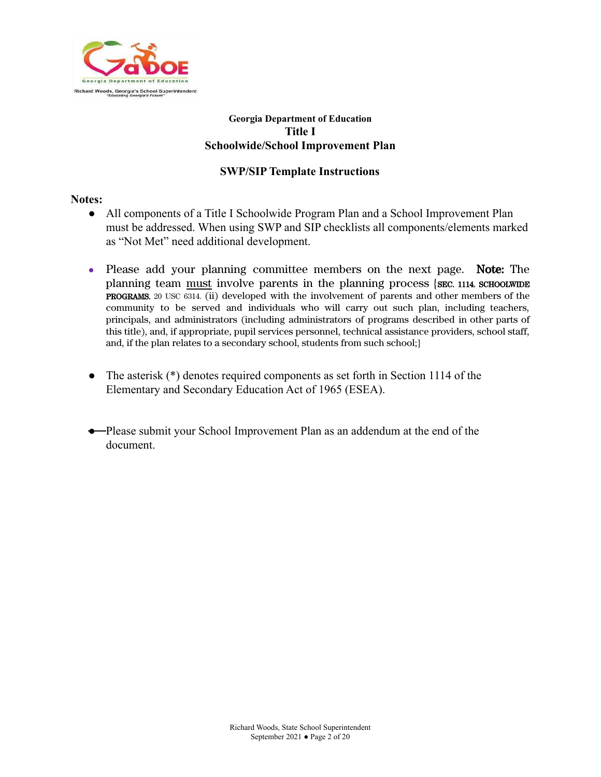

#### **SWP/SIP Template Instructions**

#### **Notes:**

- All components of a Title I Schoolwide Program Plan and a School Improvement Plan must be addressed. When using SWP and SIP checklists all components/elements marked as "Not Met" need additional development.
- Please add your planning committee members on the next page. Note: The planning team must involve parents in the planning process {SEC. 1114. SCHOOLWIDE PROGRAMS. 20 USC 6314. (ii) developed with the involvement of parents and other members of the community to be served and individuals who will carry out such plan, including teachers, principals, and administrators (including administrators of programs described in other parts of this title), and, if appropriate, pupil services personnel, technical assistance providers, school staff, and, if the plan relates to a secondary school, students from such school;}
- The asterisk (\*) denotes required components as set forth in Section 1114 of the Elementary and Secondary Education Act of 1965 (ESEA).
- Please submit your School Improvement Plan as an addendum at the end of the document.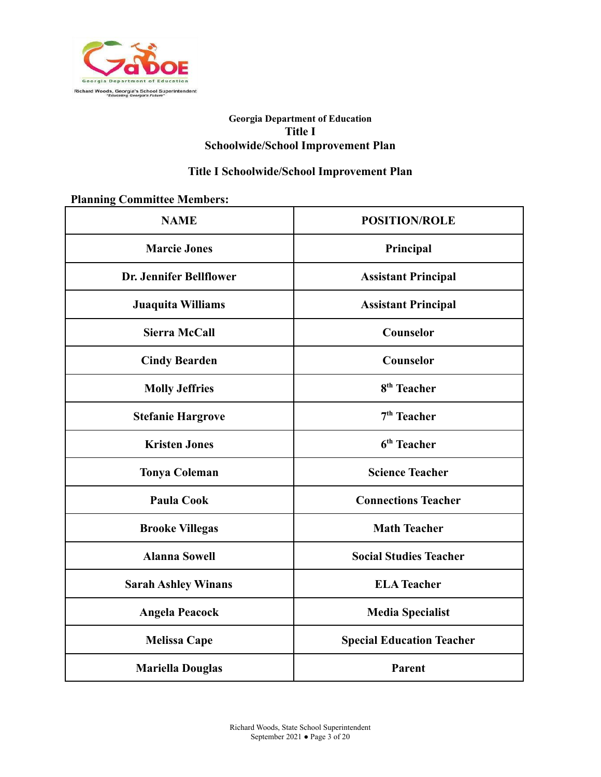

# **Title I Schoolwide/School Improvement Plan**

## **Planning Committee Members:**

| <b>NAME</b>                | <b>POSITION/ROLE</b>             |  |  |
|----------------------------|----------------------------------|--|--|
| <b>Marcie Jones</b>        | Principal                        |  |  |
| Dr. Jennifer Bellflower    | <b>Assistant Principal</b>       |  |  |
| Juaquita Williams          | <b>Assistant Principal</b>       |  |  |
| <b>Sierra McCall</b>       | Counselor                        |  |  |
| <b>Cindy Bearden</b>       | Counselor                        |  |  |
| <b>Molly Jeffries</b>      | 8 <sup>th</sup> Teacher          |  |  |
| <b>Stefanie Hargrove</b>   | $7th$ Teacher                    |  |  |
| <b>Kristen Jones</b>       | 6 <sup>th</sup> Teacher          |  |  |
| <b>Tonya Coleman</b>       | <b>Science Teacher</b>           |  |  |
| <b>Paula Cook</b>          | <b>Connections Teacher</b>       |  |  |
| <b>Brooke Villegas</b>     | <b>Math Teacher</b>              |  |  |
| <b>Alanna Sowell</b>       | <b>Social Studies Teacher</b>    |  |  |
| <b>Sarah Ashley Winans</b> | <b>ELA Teacher</b>               |  |  |
| <b>Angela Peacock</b>      | <b>Media Specialist</b>          |  |  |
| <b>Melissa Cape</b>        | <b>Special Education Teacher</b> |  |  |
| <b>Mariella Douglas</b>    | Parent                           |  |  |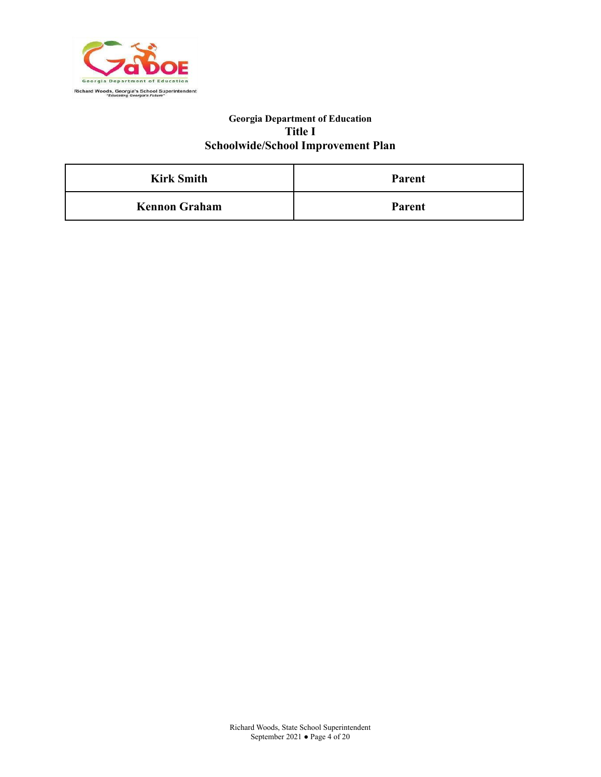

| <b>Kirk Smith</b>    | <b>Parent</b> |  |
|----------------------|---------------|--|
| <b>Kennon Graham</b> | <b>Parent</b> |  |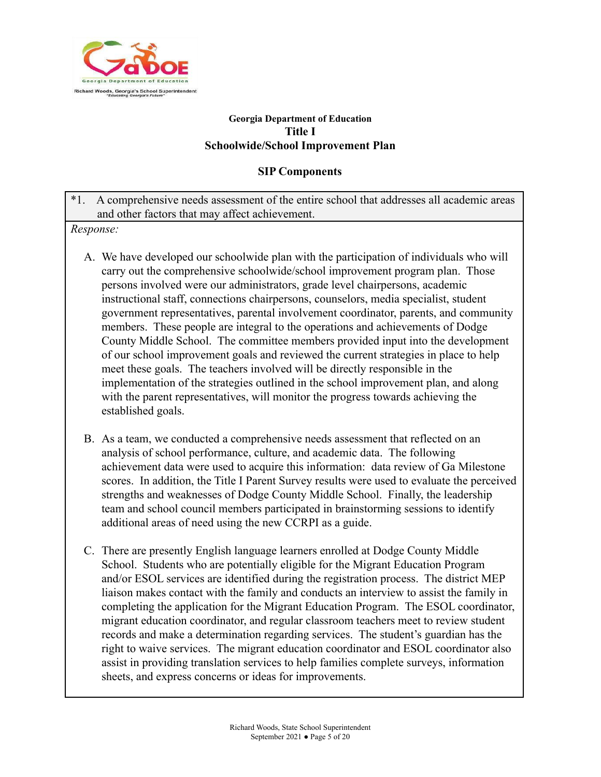

## **SIP Components**

\*1. A comprehensive needs assessment of the entire school that addresses all academic areas and other factors that may affect achievement.

*Response:*

- A. We have developed our schoolwide plan with the participation of individuals who will carry out the comprehensive schoolwide/school improvement program plan. Those persons involved were our administrators, grade level chairpersons, academic instructional staff, connections chairpersons, counselors, media specialist, student government representatives, parental involvement coordinator, parents, and community members. These people are integral to the operations and achievements of Dodge County Middle School. The committee members provided input into the development of our school improvement goals and reviewed the current strategies in place to help meet these goals. The teachers involved will be directly responsible in the implementation of the strategies outlined in the school improvement plan, and along with the parent representatives, will monitor the progress towards achieving the established goals.
- B. As a team, we conducted a comprehensive needs assessment that reflected on an analysis of school performance, culture, and academic data. The following achievement data were used to acquire this information: data review of Ga Milestone scores. In addition, the Title I Parent Survey results were used to evaluate the perceived strengths and weaknesses of Dodge County Middle School. Finally, the leadership team and school council members participated in brainstorming sessions to identify additional areas of need using the new CCRPI as a guide.
- C. There are presently English language learners enrolled at Dodge County Middle School. Students who are potentially eligible for the Migrant Education Program and/or ESOL services are identified during the registration process. The district MEP liaison makes contact with the family and conducts an interview to assist the family in completing the application for the Migrant Education Program. The ESOL coordinator, migrant education coordinator, and regular classroom teachers meet to review student records and make a determination regarding services. The student's guardian has the right to waive services. The migrant education coordinator and ESOL coordinator also assist in providing translation services to help families complete surveys, information sheets, and express concerns or ideas for improvements.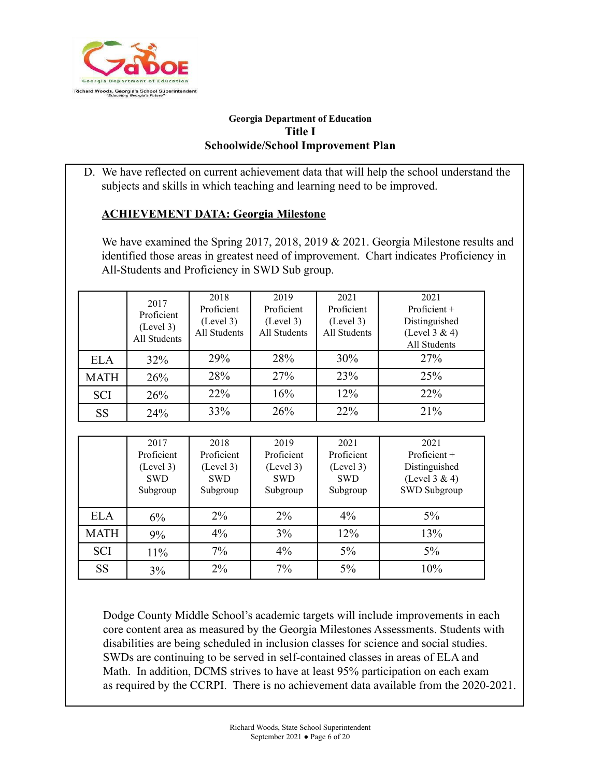

D. We have reflected on current achievement data that will help the school understand the subjects and skills in which teaching and learning need to be improved.

# **ACHIEVEMENT DATA: Georgia Milestone**

We have examined the Spring 2017, 2018, 2019 & 2021. Georgia Milestone results and identified those areas in greatest need of improvement. Chart indicates Proficiency in All-Students and Proficiency in SWD Sub group.

|             | 2017<br>Proficient<br>(Level 3)<br>All Students | 2018<br>Proficient<br>(Level 3)<br>All Students | 2019<br>Proficient<br>(Level 3)<br>All Students | 2021<br>Proficient<br>(Level 3)<br>All Students | 2021<br>Proficient +<br>Distinguished<br>(Level 3 & 4)<br>All Students |
|-------------|-------------------------------------------------|-------------------------------------------------|-------------------------------------------------|-------------------------------------------------|------------------------------------------------------------------------|
| <b>ELA</b>  | 32%                                             | 29%                                             | 28%                                             | 30%                                             | 27%                                                                    |
| <b>MATH</b> | 26%                                             | 28%                                             | 27%                                             | 23%                                             | 25%                                                                    |
| <b>SCI</b>  | 26%                                             | 22%                                             | 16%                                             | 12%                                             | 22%                                                                    |
| <b>SS</b>   | 24%                                             | 33%                                             | 26%                                             | 22%                                             | 21%                                                                    |

|             | 2017<br>Proficient<br>(Level 3)<br><b>SWD</b><br>Subgroup | 2018<br>Proficient<br>(Level 3)<br><b>SWD</b><br>Subgroup | 2019<br>Proficient<br>(Level 3)<br><b>SWD</b><br>Subgroup | 2021<br>Proficient<br>(Level 3)<br><b>SWD</b><br>Subgroup | 2021<br>Proficient $+$<br>Distinguished<br>(Level $3 & 4$ )<br>SWD Subgroup |
|-------------|-----------------------------------------------------------|-----------------------------------------------------------|-----------------------------------------------------------|-----------------------------------------------------------|-----------------------------------------------------------------------------|
| <b>ELA</b>  | 6%                                                        | $2\%$                                                     | $2\%$                                                     | $4\%$                                                     | $5\%$                                                                       |
| <b>MATH</b> | 9%                                                        | $4\%$                                                     | 3%                                                        | 12%                                                       | 13%                                                                         |
| <b>SCI</b>  | 11%                                                       | 7%                                                        | $4\%$                                                     | 5%                                                        | $5\%$                                                                       |
| <b>SS</b>   | 3%                                                        | $2\%$                                                     | 7%                                                        | 5%                                                        | 10%                                                                         |

Dodge County Middle School's academic targets will include improvements in each core content area as measured by the Georgia Milestones Assessments. Students with disabilities are being scheduled in inclusion classes for science and social studies. SWDs are continuing to be served in self-contained classes in areas of ELA and Math. In addition, DCMS strives to have at least 95% participation on each exam as required by the CCRPI. There is no achievement data available from the 2020-2021.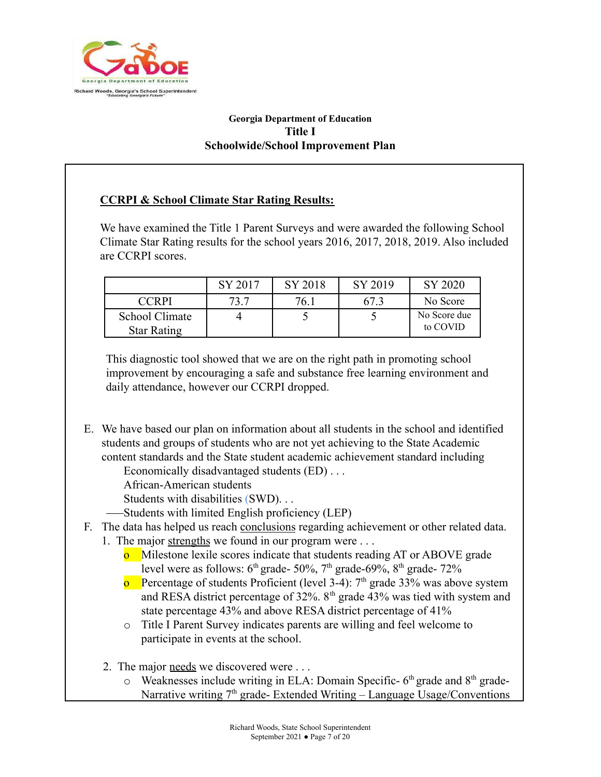

# **CCRPI & School Climate Star Rating Results:**

We have examined the Title 1 Parent Surveys and were awarded the following School Climate Star Rating results for the school years 2016, 2017, 2018, 2019. Also included are CCRPI scores.

|                                      | SY 2017 | SY 2018 | SY 2019 | SY 2020                  |
|--------------------------------------|---------|---------|---------|--------------------------|
| <b>CCRPI</b>                         |         | 76.     |         | No Score                 |
| School Climate<br><b>Star Rating</b> |         |         |         | No Score due<br>to COVID |

This diagnostic tool showed that we are on the right path in promoting school improvement by encouraging a safe and substance free learning environment and daily attendance, however our CCRPI dropped.

E. We have based our plan on information about all students in the school and identified students and groups of students who are not yet achieving to the State Academic content standards and the State student academic achievement standard including

Economically disadvantaged students (ED) . . .

African-American students

Students with disabilities (SWD). . .

Students with limited English proficiency (LEP)

# F. The data has helped us reach conclusions regarding achievement or other related data.

- 1. The major strengths we found in our program were . . .
	- **o** Milestone lexile scores indicate that students reading AT or ABOVE grade level were as follows:  $6<sup>th</sup>$  grade- 50%,  $7<sup>th</sup>$  grade-69%,  $8<sup>th</sup>$  grade- 72%
	- **o** Percentage of students Proficient (level 3-4):  $7<sup>th</sup>$  grade 33% was above system and RESA district percentage of  $32\%$ .  $8<sup>th</sup>$  grade  $43\%$  was tied with system and state percentage 43% and above RESA district percentage of 41%
	- o Title I Parent Survey indicates parents are willing and feel welcome to participate in events at the school.
- 2. The major needs we discovered were . . .
	- $\circ$  Weaknesses include writing in ELA: Domain Specific- 6<sup>th</sup> grade and 8<sup>th</sup> grade-Narrative writing  $7<sup>th</sup>$  grade-Extended Writing – Language Usage/Conventions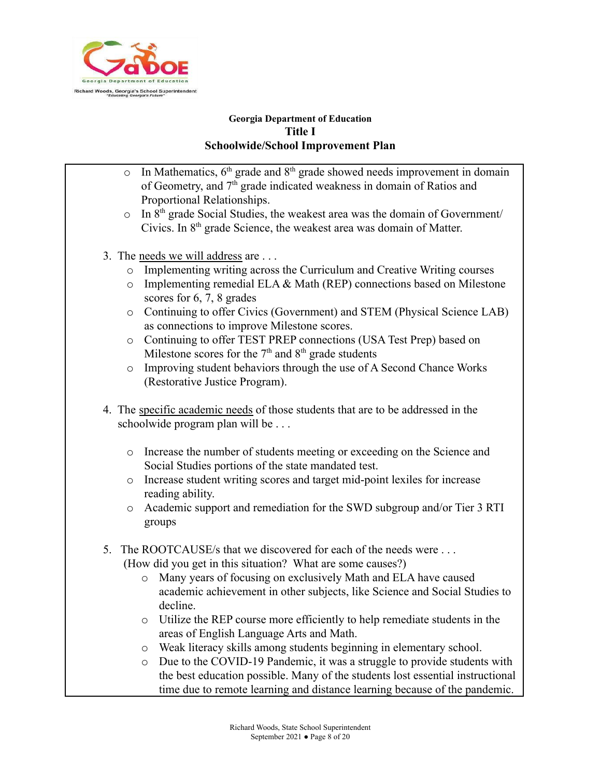

- $\circ$  In Mathematics,  $6<sup>th</sup>$  grade and  $8<sup>th</sup>$  grade showed needs improvement in domain of Geometry, and 7<sup>th</sup> grade indicated weakness in domain of Ratios and Proportional Relationships.
- $\circ$  In 8<sup>th</sup> grade Social Studies, the weakest area was the domain of Government/ Civics. In  $8<sup>th</sup>$  grade Science, the weakest area was domain of Matter.
- 3. The needs we will address are . . .
	- o Implementing writing across the Curriculum and Creative Writing courses
	- o Implementing remedial ELA & Math (REP) connections based on Milestone scores for 6, 7, 8 grades
	- o Continuing to offer Civics (Government) and STEM (Physical Science LAB) as connections to improve Milestone scores.
	- o Continuing to offer TEST PREP connections (USA Test Prep) based on Milestone scores for the  $7<sup>th</sup>$  and  $8<sup>th</sup>$  grade students
	- o Improving student behaviors through the use of A Second Chance Works (Restorative Justice Program).
- 4. The specific academic needs of those students that are to be addressed in the schoolwide program plan will be . . .
	- o Increase the number of students meeting or exceeding on the Science and Social Studies portions of the state mandated test.
	- o Increase student writing scores and target mid-point lexiles for increase reading ability.
	- o Academic support and remediation for the SWD subgroup and/or Tier 3 RTI groups
- 5. The ROOTCAUSE/s that we discovered for each of the needs were . . . (How did you get in this situation? What are some causes?)
	- o Many years of focusing on exclusively Math and ELA have caused academic achievement in other subjects, like Science and Social Studies to decline.
	- o Utilize the REP course more efficiently to help remediate students in the areas of English Language Arts and Math.
	- o Weak literacy skills among students beginning in elementary school.
	- o Due to the COVID-19 Pandemic, it was a struggle to provide students with the best education possible. Many of the students lost essential instructional time due to remote learning and distance learning because of the pandemic.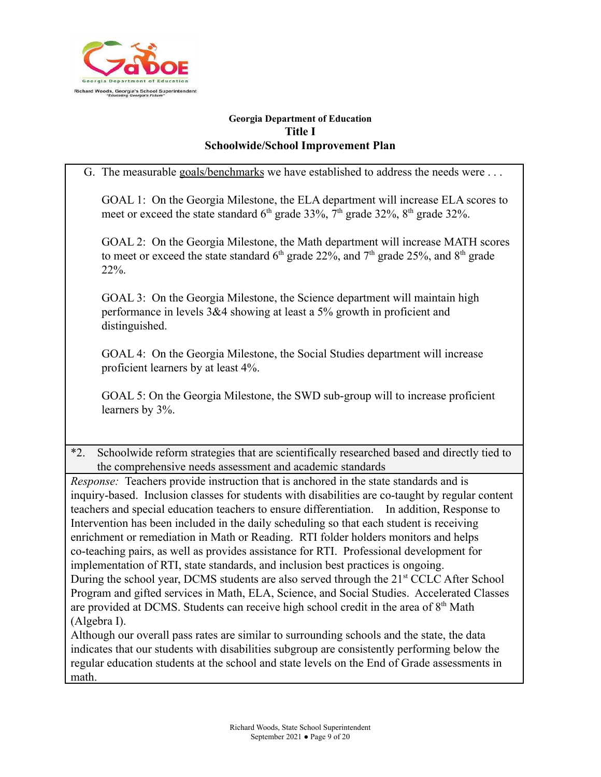

G. The measurable goals/benchmarks we have established to address the needs were ... GOAL 1: On the Georgia Milestone, the ELA department will increase ELA scores to meet or exceed the state standard  $6<sup>th</sup>$  grade 33%,  $7<sup>th</sup>$  grade 32%,  $8<sup>th</sup>$  grade 32%. GOAL 2: On the Georgia Milestone, the Math department will increase MATH scores to meet or exceed the state standard  $6<sup>th</sup>$  grade 22%, and  $7<sup>th</sup>$  grade 25%, and  $8<sup>th</sup>$  grade 22%. GOAL 3: On the Georgia Milestone, the Science department will maintain high performance in levels 3&4 showing at least a 5% growth in proficient and distinguished. GOAL 4: On the Georgia Milestone, the Social Studies department will increase proficient learners by at least 4%. GOAL 5: On the Georgia Milestone, the SWD sub-group will to increase proficient learners by 3%. \*2. Schoolwide reform strategies that are scientifically researched based and directly tied to the comprehensive needs assessment and academic standards *Response:* Teachers provide instruction that is anchored in the state standards and is inquiry-based. Inclusion classes for students with disabilities are co-taught by regular content teachers and special education teachers to ensure differentiation. In addition, Response to Intervention has been included in the daily scheduling so that each student is receiving enrichment or remediation in Math or Reading. RTI folder holders monitors and helps co-teaching pairs, as well as provides assistance for RTI. Professional development for implementation of RTI, state standards, and inclusion best practices is ongoing. During the school year, DCMS students are also served through the 21<sup>st</sup> CCLC After School Program and gifted services in Math, ELA, Science, and Social Studies. Accelerated Classes are provided at DCMS. Students can receive high school credit in the area of  $8<sup>th</sup>$  Math (Algebra I). Although our overall pass rates are similar to surrounding schools and the state, the data indicates that our students with disabilities subgroup are consistently performing below the regular education students at the school and state levels on the End of Grade assessments in math.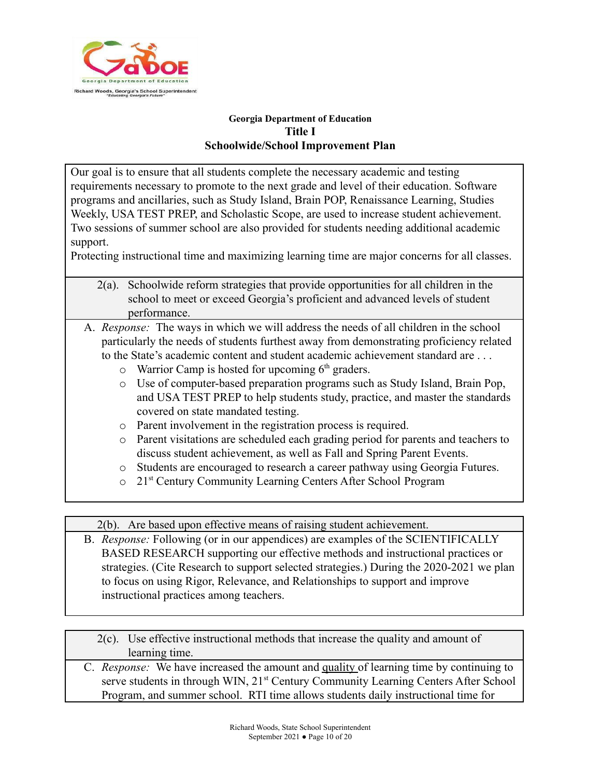

Our goal is to ensure that all students complete the necessary academic and testing requirements necessary to promote to the next grade and level of their education. Software programs and ancillaries, such as Study Island, Brain POP, Renaissance Learning, Studies Weekly, USA TEST PREP, and Scholastic Scope, are used to increase student achievement. Two sessions of summer school are also provided for students needing additional academic support.

Protecting instructional time and maximizing learning time are major concerns for all classes.

- 2(a). Schoolwide reform strategies that provide opportunities for all children in the school to meet or exceed Georgia's proficient and advanced levels of student performance.
- A. *Response:* The ways in which we will address the needs of all children in the school particularly the needs of students furthest away from demonstrating proficiency related to the State's academic content and student academic achievement standard are . . .
	- $\circ$  Warrior Camp is hosted for upcoming  $6<sup>th</sup>$  graders.
	- o Use of computer-based preparation programs such as Study Island, Brain Pop, and USA TEST PREP to help students study, practice, and master the standards covered on state mandated testing.
	- o Parent involvement in the registration process is required.
	- o Parent visitations are scheduled each grading period for parents and teachers to discuss student achievement, as well as Fall and Spring Parent Events.
	- o Students are encouraged to research a career pathway using Georgia Futures.
	- o 21st Century Community Learning Centers After School Program

2(b). Are based upon effective means of raising student achievement.

B. *Response:* Following (or in our appendices) are examples of the SCIENTIFICALLY BASED RESEARCH supporting our effective methods and instructional practices or strategies. (Cite Research to support selected strategies.) During the 2020-2021 we plan to focus on using Rigor, Relevance, and Relationships to support and improve instructional practices among teachers.

2(c). Use effective instructional methods that increase the quality and amount of learning time.

C. *Response:* We have increased the amount and quality of learning time by continuing to serve students in through WIN, 21<sup>st</sup> Century Community Learning Centers After School Program, and summer school. RTI time allows students daily instructional time for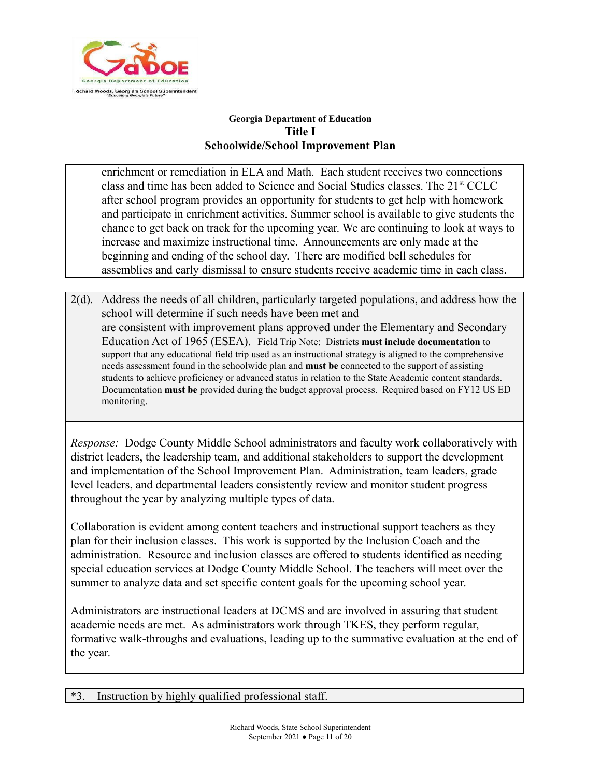

enrichment or remediation in ELA and Math. Each student receives two connections class and time has been added to Science and Social Studies classes. The  $21<sup>st</sup> CCLC$ after school program provides an opportunity for students to get help with homework and participate in enrichment activities. Summer school is available to give students the chance to get back on track for the upcoming year. We are continuing to look at ways to increase and maximize instructional time. Announcements are only made at the beginning and ending of the school day. There are modified bell schedules for assemblies and early dismissal to ensure students receive academic time in each class.

2(d). Address the needs of all children, particularly targeted populations, and address how the school will determine if such needs have been met and are consistent with improvement plans approved under the Elementary and Secondary Education Act of 1965 (ESEA). Field Trip Note: Districts **must include documentation** to support that any educational field trip used as an instructional strategy is aligned to the comprehensive needs assessment found in the schoolwide plan and **must be** connected to the support of assisting students to achieve proficiency or advanced status in relation to the State Academic content standards. Documentation **must be** provided during the budget approval process. Required based on FY12 US ED monitoring.

*Response:* Dodge County Middle School administrators and faculty work collaboratively with district leaders, the leadership team, and additional stakeholders to support the development and implementation of the School Improvement Plan. Administration, team leaders, grade level leaders, and departmental leaders consistently review and monitor student progress throughout the year by analyzing multiple types of data.

Collaboration is evident among content teachers and instructional support teachers as they plan for their inclusion classes. This work is supported by the Inclusion Coach and the administration. Resource and inclusion classes are offered to students identified as needing special education services at Dodge County Middle School. The teachers will meet over the summer to analyze data and set specific content goals for the upcoming school year.

Administrators are instructional leaders at DCMS and are involved in assuring that student academic needs are met. As administrators work through TKES, they perform regular, formative walk-throughs and evaluations, leading up to the summative evaluation at the end of the year.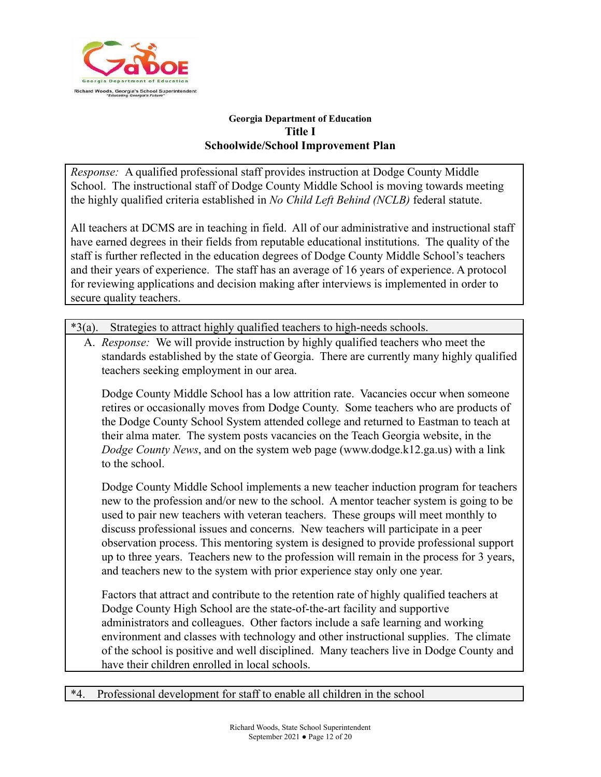

*Response:* A qualified professional staff provides instruction at Dodge County Middle School. The instructional staff of Dodge County Middle School is moving towards meeting the highly qualified criteria established in *No Child Left Behind (NCLB)* federal statute.

All teachers at DCMS are in teaching in field. All of our administrative and instructional staff have earned degrees in their fields from reputable educational institutions. The quality of the staff is further reflected in the education degrees of Dodge County Middle School's teachers and their years of experience. The staff has an average of 16 years of experience. A protocol for reviewing applications and decision making after interviews is implemented in order to secure quality teachers.

\*3(a). Strategies to attract highly qualified teachers to high-needs schools.

A. *Response:* We will provide instruction by highly qualified teachers who meet the standards established by the state of Georgia. There are currently many highly qualified teachers seeking employment in our area.

Dodge County Middle School has a low attrition rate. Vacancies occur when someone retires or occasionally moves from Dodge County. Some teachers who are products of the Dodge County School System attended college and returned to Eastman to teach at their alma mater. The system posts vacancies on the Teach Georgia website, in the *Dodge County News*, and on the system web page (www.dodge.k12.ga.us) with a link to the school.

Dodge County Middle School implements a new teacher induction program for teachers new to the profession and/or new to the school. A mentor teacher system is going to be used to pair new teachers with veteran teachers. These groups will meet monthly to discuss professional issues and concerns. New teachers will participate in a peer observation process. This mentoring system is designed to provide professional support up to three years. Teachers new to the profession will remain in the process for 3 years, and teachers new to the system with prior experience stay only one year.

Factors that attract and contribute to the retention rate of highly qualified teachers at Dodge County High School are the state-of-the-art facility and supportive administrators and colleagues. Other factors include a safe learning and working environment and classes with technology and other instructional supplies. The climate of the school is positive and well disciplined. Many teachers live in Dodge County and have their children enrolled in local schools.

\*4. Professional development for staff to enable all children in the school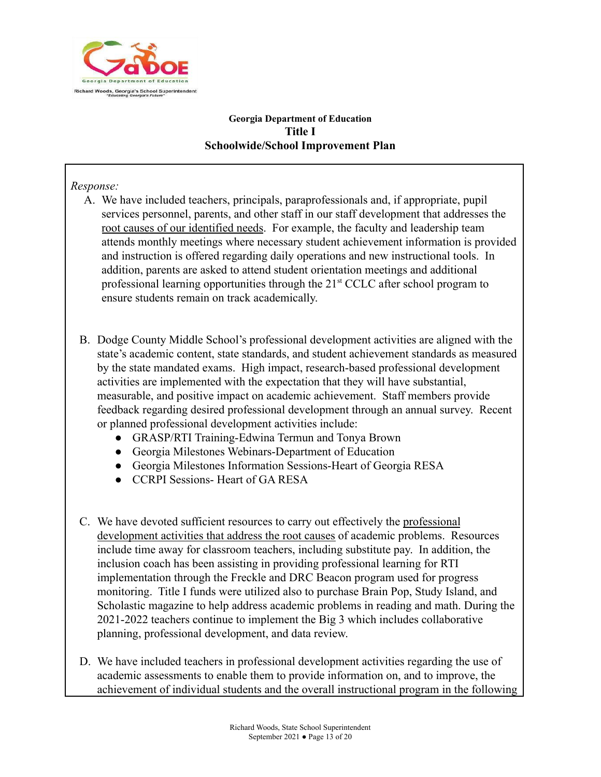

## *Response:*

- A. We have included teachers, principals, paraprofessionals and, if appropriate, pupil services personnel, parents, and other staff in our staff development that addresses the root causes of our identified needs. For example, the faculty and leadership team attends monthly meetings where necessary student achievement information is provided and instruction is offered regarding daily operations and new instructional tools. In addition, parents are asked to attend student orientation meetings and additional professional learning opportunities through the  $21<sup>st</sup> CCLC$  after school program to ensure students remain on track academically.
- B. Dodge County Middle School's professional development activities are aligned with the state's academic content, state standards, and student achievement standards as measured by the state mandated exams. High impact, research-based professional development activities are implemented with the expectation that they will have substantial, measurable, and positive impact on academic achievement. Staff members provide feedback regarding desired professional development through an annual survey. Recent or planned professional development activities include:
	- GRASP/RTI Training-Edwina Termun and Tonya Brown
	- Georgia Milestones Webinars-Department of Education
	- Georgia Milestones Information Sessions-Heart of Georgia RESA
	- CCRPI Sessions- Heart of GA RESA
- C. We have devoted sufficient resources to carry out effectively the professional development activities that address the root causes of academic problems. Resources include time away for classroom teachers, including substitute pay. In addition, the inclusion coach has been assisting in providing professional learning for RTI implementation through the Freckle and DRC Beacon program used for progress monitoring. Title I funds were utilized also to purchase Brain Pop, Study Island, and Scholastic magazine to help address academic problems in reading and math. During the 2021-2022 teachers continue to implement the Big 3 which includes collaborative planning, professional development, and data review.
- D. We have included teachers in professional development activities regarding the use of academic assessments to enable them to provide information on, and to improve, the achievement of individual students and the overall instructional program in the following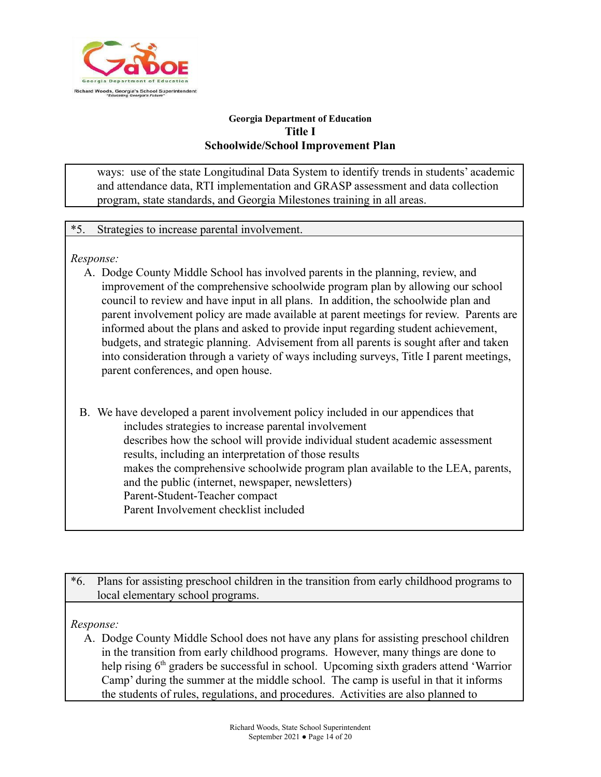

ways: use of the state Longitudinal Data System to identify trends in students' academic and attendance data, RTI implementation and GRASP assessment and data collection program, state standards, and Georgia Milestones training in all areas.

## \*5. Strategies to increase parental involvement.

*Response:*

- A. Dodge County Middle School has involved parents in the planning, review, and improvement of the comprehensive schoolwide program plan by allowing our school council to review and have input in all plans. In addition, the schoolwide plan and parent involvement policy are made available at parent meetings for review. Parents are informed about the plans and asked to provide input regarding student achievement, budgets, and strategic planning. Advisement from all parents is sought after and taken into consideration through a variety of ways including surveys, Title I parent meetings, parent conferences, and open house.
- B. We have developed a parent involvement policy included in our appendices that includes strategies to increase parental involvement describes how the school will provide individual student academic assessment results, including an interpretation of those results makes the comprehensive schoolwide program plan available to the LEA, parents, and the public (internet, newspaper, newsletters) Parent-Student-Teacher compact Parent Involvement checklist included
- \*6. Plans for assisting preschool children in the transition from early childhood programs to local elementary school programs.

*Response:*

A. Dodge County Middle School does not have any plans for assisting preschool children in the transition from early childhood programs. However, many things are done to help rising 6<sup>th</sup> graders be successful in school. Upcoming sixth graders attend 'Warrior Camp' during the summer at the middle school. The camp is useful in that it informs the students of rules, regulations, and procedures. Activities are also planned to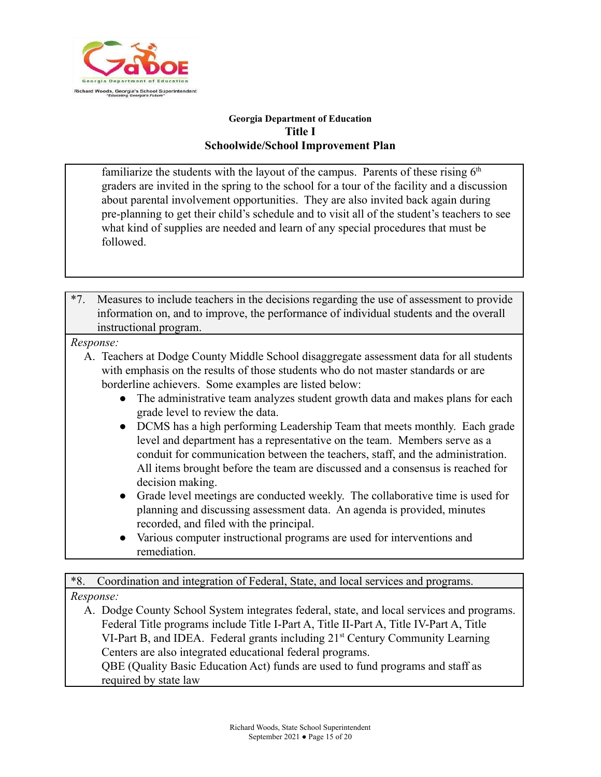

familiarize the students with the layout of the campus. Parents of these rising  $6<sup>th</sup>$ graders are invited in the spring to the school for a tour of the facility and a discussion about parental involvement opportunities. They are also invited back again during pre-planning to get their child's schedule and to visit all of the student's teachers to see what kind of supplies are needed and learn of any special procedures that must be followed.

\*7. Measures to include teachers in the decisions regarding the use of assessment to provide information on, and to improve, the performance of individual students and the overall instructional program.

## *Response:*

- A. Teachers at Dodge County Middle School disaggregate assessment data for all students with emphasis on the results of those students who do not master standards or are borderline achievers. Some examples are listed below:
	- The administrative team analyzes student growth data and makes plans for each grade level to review the data.
	- DCMS has a high performing Leadership Team that meets monthly. Each grade level and department has a representative on the team. Members serve as a conduit for communication between the teachers, staff, and the administration. All items brought before the team are discussed and a consensus is reached for decision making.
	- Grade level meetings are conducted weekly. The collaborative time is used for planning and discussing assessment data. An agenda is provided, minutes recorded, and filed with the principal.
	- Various computer instructional programs are used for interventions and remediation.

\*8. Coordination and integration of Federal, State, and local services and programs. *Response:*

A. Dodge County School System integrates federal, state, and local services and programs. Federal Title programs include Title I-Part A, Title II-Part A, Title IV-Part A, Title VI-Part B, and IDEA. Federal grants including 21<sup>st</sup> Century Community Learning Centers are also integrated educational federal programs. QBE (Quality Basic Education Act) funds are used to fund programs and staff as

required by state law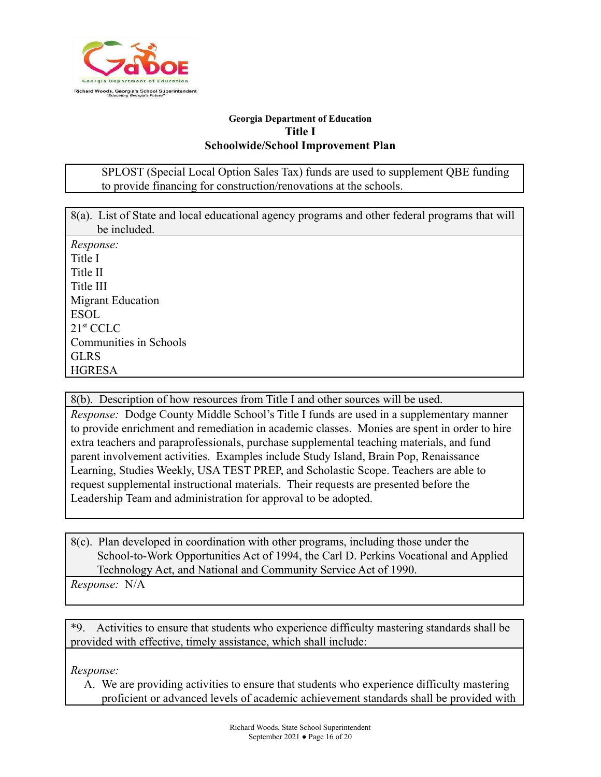

SPLOST (Special Local Option Sales Tax) funds are used to supplement QBE funding to provide financing for construction/renovations at the schools.

| 8(a). List of State and local educational agency programs and other federal programs that will |
|------------------------------------------------------------------------------------------------|
| be included.                                                                                   |
| Response:                                                                                      |
| Title I                                                                                        |
| Title II                                                                                       |
| Title III                                                                                      |
| <b>Migrant Education</b>                                                                       |
| <b>ESOL</b>                                                                                    |
| 21 <sup>st</sup> CCLC                                                                          |
| Communities in Schools                                                                         |
| <b>GLRS</b>                                                                                    |
| <b>HGRESA</b>                                                                                  |

8(b). Description of how resources from Title I and other sources will be used.

*Response:* Dodge County Middle School's Title I funds are used in a supplementary manner to provide enrichment and remediation in academic classes. Monies are spent in order to hire extra teachers and paraprofessionals, purchase supplemental teaching materials, and fund parent involvement activities. Examples include Study Island, Brain Pop, Renaissance Learning, Studies Weekly, USA TEST PREP, and Scholastic Scope. Teachers are able to request supplemental instructional materials. Their requests are presented before the Leadership Team and administration for approval to be adopted.

8(c). Plan developed in coordination with other programs, including those under the School-to-Work Opportunities Act of 1994, the Carl D. Perkins Vocational and Applied Technology Act, and National and Community Service Act of 1990.

*Response:* N/A

\*9. Activities to ensure that students who experience difficulty mastering standards shall be provided with effective, timely assistance, which shall include:

*Response:*

A. We are providing activities to ensure that students who experience difficulty mastering proficient or advanced levels of academic achievement standards shall be provided with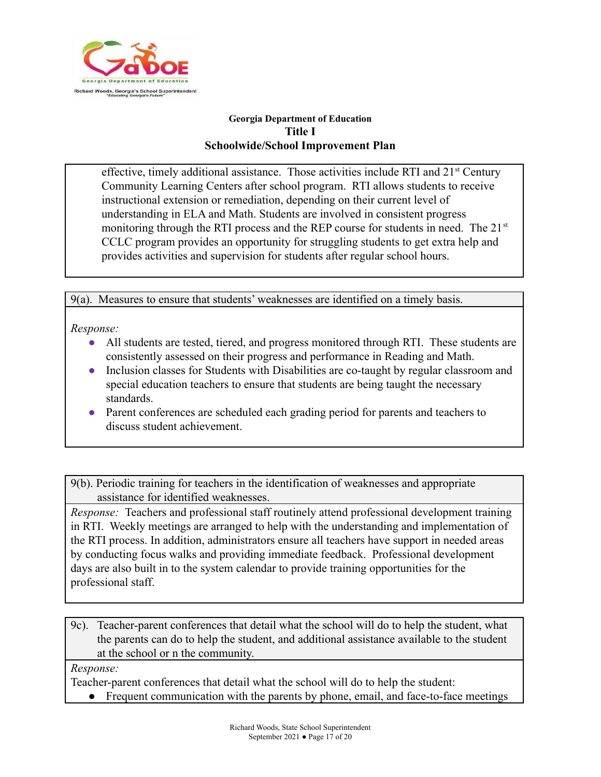

effective, timely additional assistance. Those activities include RTI and  $21<sup>st</sup>$  Century Community Learning Centers after school program. RTI allows students to receive instructional extension or remediation, depending on their current level of understanding in ELA and Math. Students are involved in consistent progress monitoring through the RTI process and the REP course for students in need. The  $21<sup>st</sup>$ CCLC program provides an opportunity for struggling students to get extra help and provides activities and supervision for students after regular school hours.

9(a). Measures to ensure that students' weaknesses are identified on a timely basis.

*Response:*

- All students are tested, tiered, and progress monitored through RTI. These students are consistently assessed on their progress and performance in Reading and Math.
- Inclusion classes for Students with Disabilities are co-taught by regular classroom and special education teachers to ensure that students are being taught the necessary standards.
- Parent conferences are scheduled each grading period for parents and teachers to discuss student achievement.

9(b). Periodic training for teachers in the identification of weaknesses and appropriate assistance for identified weaknesses.

*Response:* Teachers and professional staff routinely attend professional development training in RTI. Weekly meetings are arranged to help with the understanding and implementation of the RTI process. In addition, administrators ensure all teachers have support in needed areas by conducting focus walks and providing immediate feedback. Professional development days are also built in to the system calendar to provide training opportunities for the professional staff.

9c). Teacher-parent conferences that detail what the school will do to help the student, what the parents can do to help the student, and additional assistance available to the student at the school or n the community.

*Response:*

Teacher-parent conferences that detail what the school will do to help the student:

• Frequent communication with the parents by phone, email, and face-to-face meetings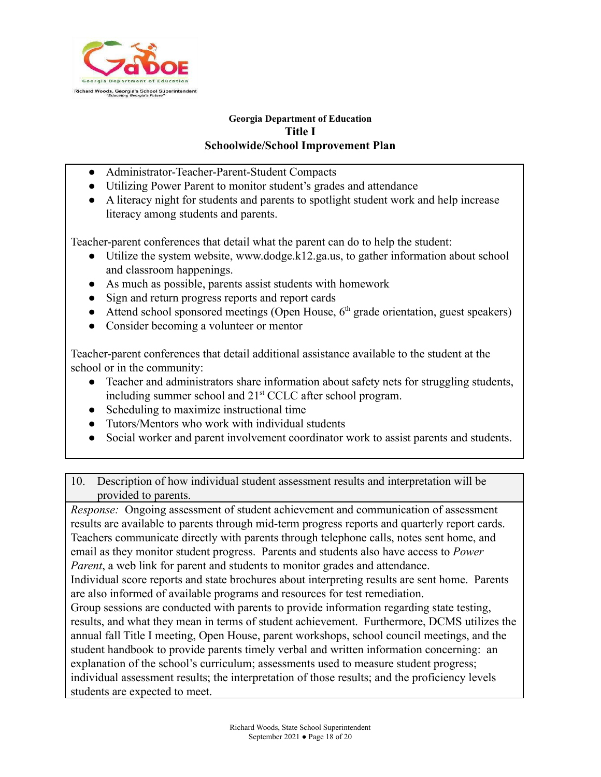

- Administrator-Teacher-Parent-Student Compacts
- Utilizing Power Parent to monitor student's grades and attendance
- A literacy night for students and parents to spotlight student work and help increase literacy among students and parents.

Teacher-parent conferences that detail what the parent can do to help the student:

- Utilize the system website, www.dodge.k12.ga.us, to gather information about school and classroom happenings.
- As much as possible, parents assist students with homework
- Sign and return progress reports and report cards
- Attend school sponsored meetings (Open House,  $6<sup>th</sup>$  grade orientation, guest speakers)
- Consider becoming a volunteer or mentor

Teacher-parent conferences that detail additional assistance available to the student at the school or in the community:

- Teacher and administrators share information about safety nets for struggling students, including summer school and 21st CCLC after school program.
- Scheduling to maximize instructional time
- Tutors/Mentors who work with individual students
- Social worker and parent involvement coordinator work to assist parents and students.

10. Description of how individual student assessment results and interpretation will be provided to parents.

*Response:* Ongoing assessment of student achievement and communication of assessment results are available to parents through mid-term progress reports and quarterly report cards. Teachers communicate directly with parents through telephone calls, notes sent home, and email as they monitor student progress. Parents and students also have access to *Power Parent*, a web link for parent and students to monitor grades and attendance. Individual score reports and state brochures about interpreting results are sent home. Parents are also informed of available programs and resources for test remediation. Group sessions are conducted with parents to provide information regarding state testing, results, and what they mean in terms of student achievement. Furthermore, DCMS utilizes the annual fall Title I meeting, Open House, parent workshops, school council meetings, and the student handbook to provide parents timely verbal and written information concerning: an explanation of the school's curriculum; assessments used to measure student progress;

individual assessment results; the interpretation of those results; and the proficiency levels students are expected to meet.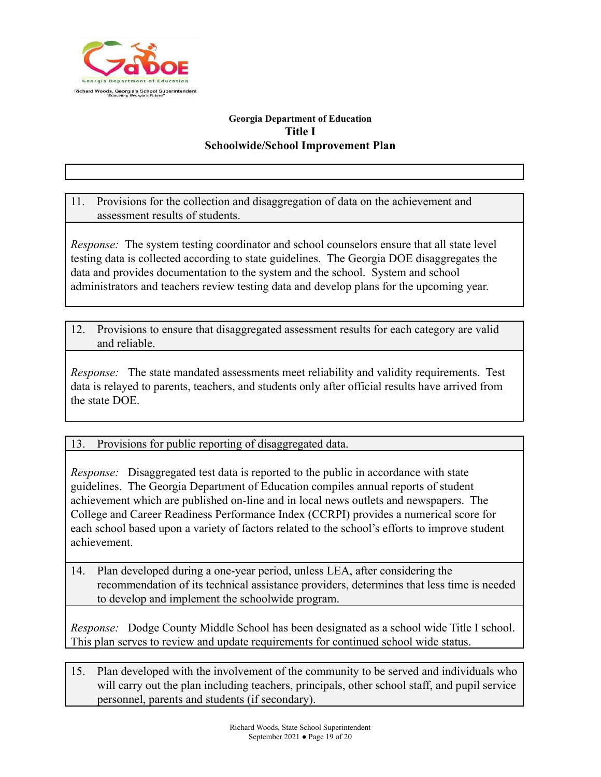

11. Provisions for the collection and disaggregation of data on the achievement and assessment results of students.

*Response:* The system testing coordinator and school counselors ensure that all state level testing data is collected according to state guidelines. The Georgia DOE disaggregates the data and provides documentation to the system and the school. System and school administrators and teachers review testing data and develop plans for the upcoming year.

12. Provisions to ensure that disaggregated assessment results for each category are valid and reliable.

*Response:* The state mandated assessments meet reliability and validity requirements. Test data is relayed to parents, teachers, and students only after official results have arrived from the state DOE.

13. Provisions for public reporting of disaggregated data.

*Response:* Disaggregated test data is reported to the public in accordance with state guidelines. The Georgia Department of Education compiles annual reports of student achievement which are published on-line and in local news outlets and newspapers. The College and Career Readiness Performance Index (CCRPI) provides a numerical score for each school based upon a variety of factors related to the school's efforts to improve student achievement.

14. Plan developed during a one-year period, unless LEA, after considering the recommendation of its technical assistance providers, determines that less time is needed to develop and implement the schoolwide program.

*Response:* Dodge County Middle School has been designated as a school wide Title I school. This plan serves to review and update requirements for continued school wide status.

15. Plan developed with the involvement of the community to be served and individuals who will carry out the plan including teachers, principals, other school staff, and pupil service personnel, parents and students (if secondary).